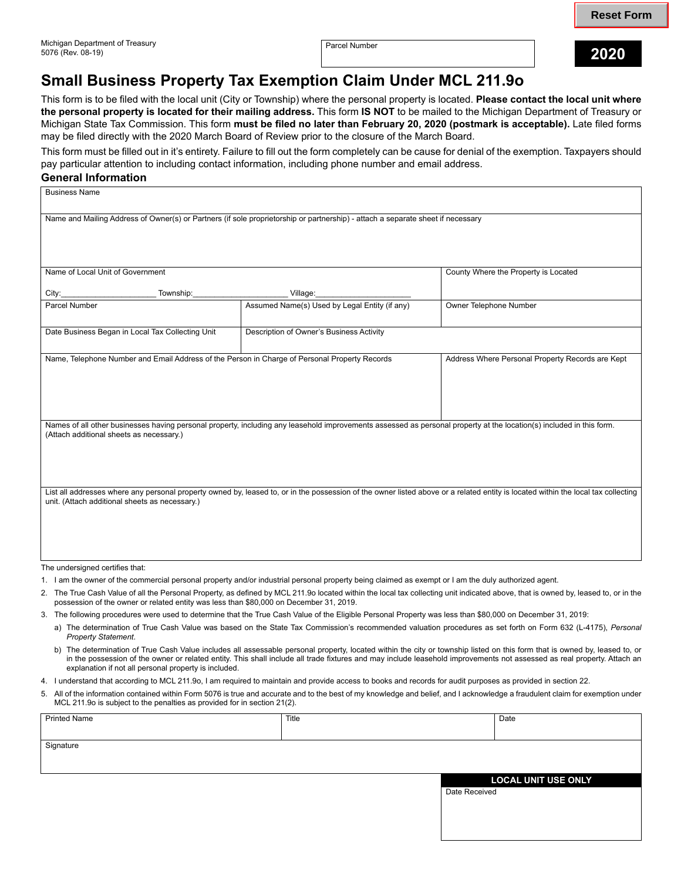Parcel Number **2020** 

## **Small Business Property Tax Exemption Claim Under MCL 211.9o**

This form is to be filed with the local unit (City or Township) where the personal property is located. **Please contact the local unit where the personal property is located for their mailing address.** This form **IS NOT** to be mailed to the Michigan Department of Treasury or Michigan State Tax Commission. This form **must be filed no later than February 20, 2020 (postmark is acceptable).** Late filed forms may be filed directly with the 2020 March Board of Review prior to the closure of the March Board.

This form must be filled out in it's entirety. Failure to fill out the form completely can be cause for denial of the exemption. Taxpayers should pay particular attention to including contact information, including phone number and email address.

## **General Information**

| <b>Business Name</b>                                                                                                                                                                                                                |                                               |                                                  |  |  |
|-------------------------------------------------------------------------------------------------------------------------------------------------------------------------------------------------------------------------------------|-----------------------------------------------|--------------------------------------------------|--|--|
| Name and Mailing Address of Owner(s) or Partners (if sole proprietorship or partnership) - attach a separate sheet if necessary                                                                                                     |                                               |                                                  |  |  |
| Name of Local Unit of Government                                                                                                                                                                                                    |                                               | County Where the Property is Located             |  |  |
| Township:<br>City:                                                                                                                                                                                                                  | Village:                                      |                                                  |  |  |
| Parcel Number                                                                                                                                                                                                                       | Assumed Name(s) Used by Legal Entity (if any) | Owner Telephone Number                           |  |  |
| Date Business Began in Local Tax Collecting Unit                                                                                                                                                                                    | Description of Owner's Business Activity      |                                                  |  |  |
| Name, Telephone Number and Email Address of the Person in Charge of Personal Property Records                                                                                                                                       |                                               | Address Where Personal Property Records are Kept |  |  |
| Names of all other businesses having personal property, including any leasehold improvements assessed as personal property at the location(s) included in this form.<br>(Attach additional sheets as necessary.)                    |                                               |                                                  |  |  |
| List all addresses where any personal property owned by, leased to, or in the possession of the owner listed above or a related entity is located within the local tax collecting<br>unit. (Attach additional sheets as necessary.) |                                               |                                                  |  |  |

The undersigned certifies that:

- 1. I am the owner of the commercial personal property and/or industrial personal property being claimed as exempt or I am the duly authorized agent.
- $\mathcal{P}$ The True Cash Value of all the Personal Property, as defined by MCL 211.9o located within the local tax collecting unit indicated above, that is owned by, leased to, or in the possession of the owner or related entity was less than \$80,000 on December 31, 2019.
- 3. The following procedures were used to determine that the True Cash Value of the Eligible Personal Property was less than \$80,000 on December 31, 2019:
	- a) The determination of True Cash Value was based on the State Tax Commission's recommended valuation procedures as set forth on Form 632 (L-4175), *Personal Property Statement*.
	- b) The determination of True Cash Value includes all assessable personal property, located within the city or township listed on this form that is owned by, leased to, or in the possession of the owner or related entity. This shall include all trade fixtures and may include leasehold improvements not assessed as real property. Attach an explanation if not all personal property is included.
- 4. I understand that according to MCL 211.9o, I am required to maintain and provide access to books and records for audit purposes as provided in section 22.
- 5. All of the information contained within Form 5076 is true and accurate and to the best of my knowledge and belief, and I acknowledge a fraudulent claim for exemption under MCL 211.9o is subject to the penalties as provided for in section 21(2).

| <b>Printed Name</b> | Title |                            | Date |
|---------------------|-------|----------------------------|------|
|                     |       |                            |      |
| Signature           |       |                            |      |
|                     |       |                            |      |
|                     |       | <b>LOCAL UNIT USE ONLY</b> |      |
|                     |       | Date Received              |      |
|                     |       |                            |      |
|                     |       |                            |      |